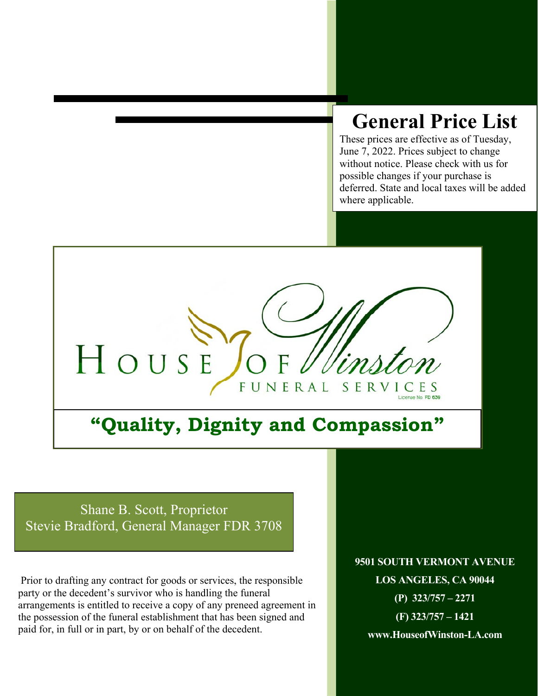# **General Price List**

These prices are effective as of Tuesday, June 7, 2022. Prices subject to change without notice. Please check with us for possible changes if your purchase is deferred. State and local taxes will be added where applicable.



# **"Quality, Dignity and Compassion"**

Shane B. Scott, Proprietor Stevie Bradford, General Manager FDR 3708

l

 Prior to drafting any contract for goods or services, the responsible party or the decedent's survivor who is handling the funeral arrangements is entitled to receive a copy of any preneed agreement in the possession of the funeral establishment that has been signed and paid for, in full or in part, by or on behalf of the decedent.

**9501 SOUTH VERMONT AVENUE LOS ANGELES, CA 90044 (P) 323/757 – 2271 (F) 323/757 – 1421 www.HouseofWinston-LA.com**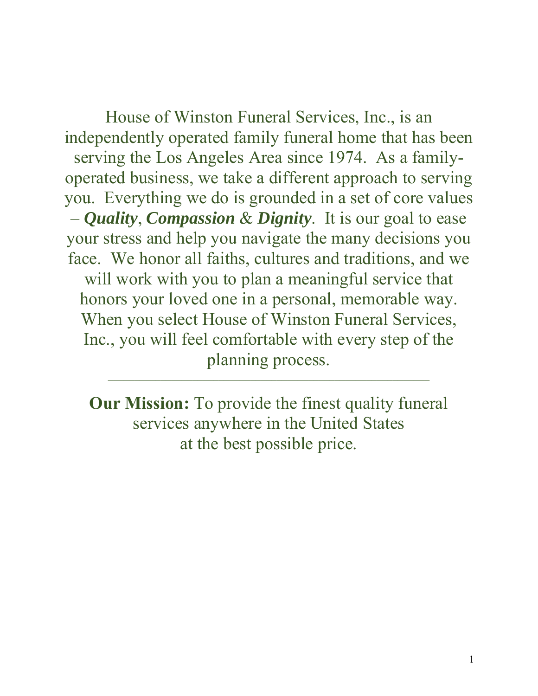House of Winston Funeral Services, Inc., is an independently operated family funeral home that has been serving the Los Angeles Area since 1974. As a familyoperated business, we take a different approach to serving you. Everything we do is grounded in a set of core values – *Quality*, *Compassion* & *Dignity*. It is our goal to ease your stress and help you navigate the many decisions you face. We honor all faiths, cultures and traditions, and we will work with you to plan a meaningful service that honors your loved one in a personal, memorable way. When you select House of Winston Funeral Services, Inc., you will feel comfortable with every step of the planning process.

**Our Mission:** To provide the finest quality funeral services anywhere in the United States at the best possible price.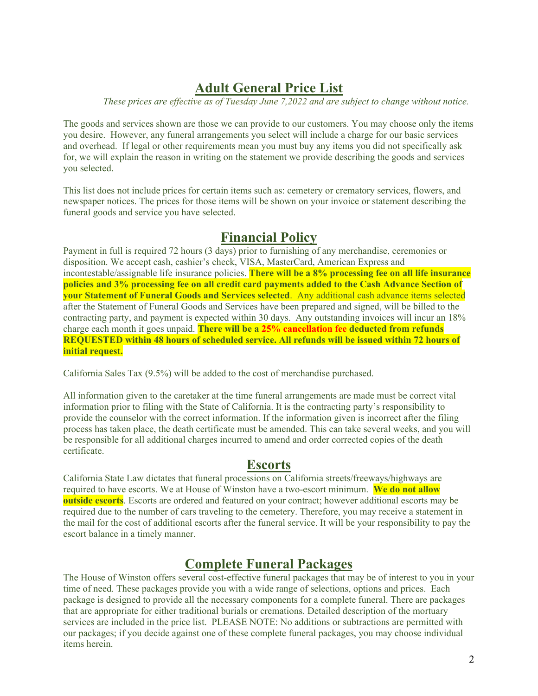## **Adult General Price List**

*These prices are effective as of Tuesday June 7,2022 and are subject to change without notice.* 

The goods and services shown are those we can provide to our customers. You may choose only the items you desire. However, any funeral arrangements you select will include a charge for our basic services and overhead. If legal or other requirements mean you must buy any items you did not specifically ask for, we will explain the reason in writing on the statement we provide describing the goods and services you selected.

This list does not include prices for certain items such as: cemetery or crematory services, flowers, and newspaper notices. The prices for those items will be shown on your invoice or statement describing the funeral goods and service you have selected.

## **Financial Policy**

Payment in full is required 72 hours (3 days) prior to furnishing of any merchandise, ceremonies or disposition. We accept cash, cashier's check, VISA, MasterCard, American Express and incontestable/assignable life insurance policies. **There will be a 8% processing fee on all life insurance policies and 3% processing fee on all credit card payments added to the Cash Advance Section of your Statement of Funeral Goods and Services selected**. Any additional cash advance items selected after the Statement of Funeral Goods and Services have been prepared and signed, will be billed to the contracting party, and payment is expected within 30 days. Any outstanding invoices will incur an 18% charge each month it goes unpaid. **There will be a 25% cancellation fee deducted from refunds REQUESTED within 48 hours of scheduled service. All refunds will be issued within 72 hours of initial request.** 

California Sales Tax (9.5%) will be added to the cost of merchandise purchased.

All information given to the caretaker at the time funeral arrangements are made must be correct vital information prior to filing with the State of California. It is the contracting party's responsibility to provide the counselor with the correct information. If the information given is incorrect after the filing process has taken place, the death certificate must be amended. This can take several weeks, and you will be responsible for all additional charges incurred to amend and order corrected copies of the death certificate.

### **Escorts**

California State Law dictates that funeral processions on California streets/freeways/highways are required to have escorts. We at House of Winston have a two-escort minimum. **We do not allow outside escorts**. Escorts are ordered and featured on your contract; however additional escorts may be required due to the number of cars traveling to the cemetery. Therefore, you may receive a statement in the mail for the cost of additional escorts after the funeral service. It will be your responsibility to pay the escort balance in a timely manner.

## **Complete Funeral Packages**

The House of Winston offers several cost-effective funeral packages that may be of interest to you in your time of need. These packages provide you with a wide range of selections, options and prices. Each package is designed to provide all the necessary components for a complete funeral. There are packages that are appropriate for either traditional burials or cremations. Detailed description of the mortuary services are included in the price list. PLEASE NOTE: No additions or subtractions are permitted with our packages; if you decide against one of these complete funeral packages, you may choose individual items herein.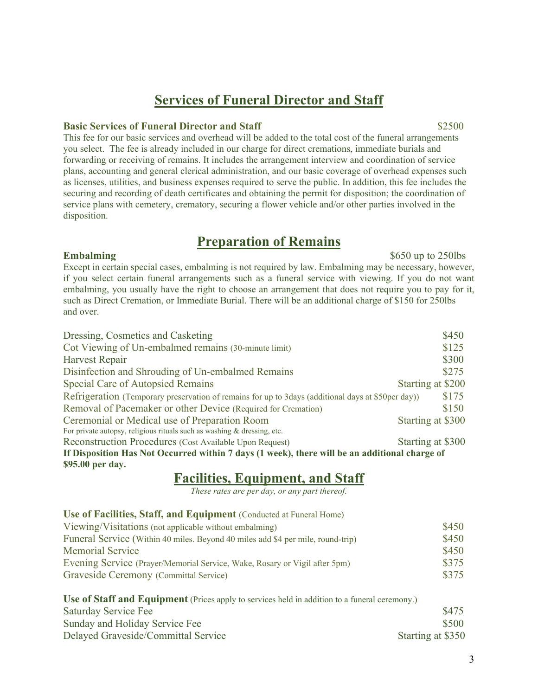## **Services of Funeral Director and Staff**

### **Basic Services of Funeral Director and Staff**   $$2500$

This fee for our basic services and overhead will be added to the total cost of the funeral arrangements you select. The fee is already included in our charge for direct cremations, immediate burials and forwarding or receiving of remains. It includes the arrangement interview and coordination of service plans, accounting and general clerical administration, and our basic coverage of overhead expenses such as licenses, utilities, and business expenses required to serve the public. In addition, this fee includes the securing and recording of death certificates and obtaining the permit for disposition; the coordination of service plans with cemetery, crematory, securing a flower vehicle and/or other parties involved in the disposition.

## **Preparation of Remains**

### **Embalming** \$650 up to 250lbs

Except in certain special cases, embalming is not required by law. Embalming may be necessary, however, if you select certain funeral arrangements such as a funeral service with viewing. If you do not want embalming, you usually have the right to choose an arrangement that does not require you to pay for it, such as Direct Cremation, or Immediate Burial. There will be an additional charge of \$150 for 250lbs and over.

| Dressing, Cosmetics and Casketing                                                                  | \$450             |  |  |
|----------------------------------------------------------------------------------------------------|-------------------|--|--|
| Cot Viewing of Un-embalmed remains (30-minute limit)                                               | \$125             |  |  |
| Harvest Repair                                                                                     | \$300             |  |  |
| Disinfection and Shrouding of Un-embalmed Remains                                                  | \$275             |  |  |
| Special Care of Autopsied Remains                                                                  | Starting at \$200 |  |  |
| Refrigeration (Temporary preservation of remains for up to 3days (additional days at \$50per day)) | \$175             |  |  |
| Removal of Pacemaker or other Device (Required for Cremation)                                      | \$150             |  |  |
| Ceremonial or Medical use of Preparation Room                                                      | Starting at \$300 |  |  |
| For private autopsy, religious rituals such as washing & dressing, etc.                            |                   |  |  |
| Reconstruction Procedures (Cost Available Upon Request)                                            | Starting at \$300 |  |  |
| If Disposition Has Not Occurred within 7 days (1 week), there will be an additional charge of      |                   |  |  |

**\$95.00 per day.** 

## **Facilities, Equipment, and Staff**

*These rates are per day, or any part thereof*.

| Use of Facilities, Staff, and Equipment (Conducted at Funeral Home)                           |       |
|-----------------------------------------------------------------------------------------------|-------|
| Viewing/Visitations (not applicable without embalming)                                        | \$450 |
| Funeral Service (Within 40 miles. Beyond 40 miles add \$4 per mile, round-trip)               | \$450 |
| <b>Memorial Service</b>                                                                       | \$450 |
| Evening Service (Prayer/Memorial Service, Wake, Rosary or Vigil after 5pm)                    | \$375 |
| Graveside Ceremony (Committal Service)                                                        | \$375 |
| Use of Staff and Equipment (Prices apply to services held in addition to a funeral ceremony.) |       |
| Saturday Service Fee                                                                          | \$475 |
| Sunday and Holiday Service Fee                                                                | \$500 |
|                                                                                               |       |

Delayed Graveside/Committal Service Starting at \$350

3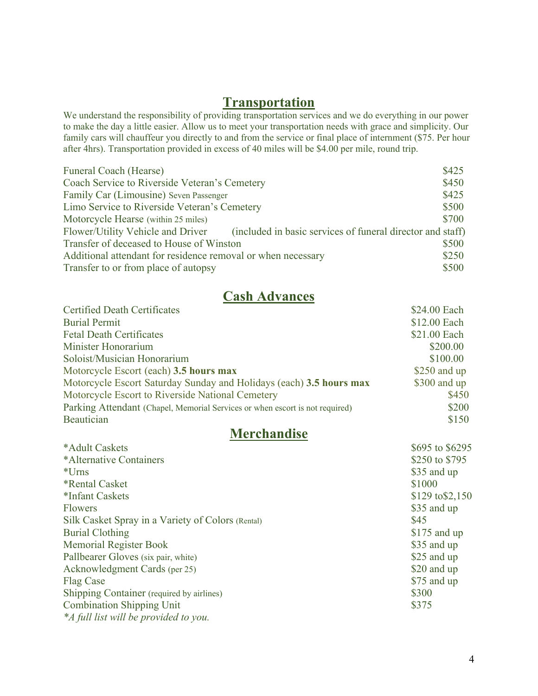## **Transportation**

We understand the responsibility of providing transportation services and we do everything in our power to make the day a little easier. Allow us to meet your transportation needs with grace and simplicity. Our family cars will chauffeur you directly to and from the service or final place of internment (\$75. Per hour after 4hrs). Transportation provided in excess of 40 miles will be \$4.00 per mile, round trip.

| <b>Funeral Coach (Hearse)</b>                                                                   | \$425 |
|-------------------------------------------------------------------------------------------------|-------|
| Coach Service to Riverside Veteran's Cemetery                                                   | \$450 |
| Family Car (Limousine) Seven Passenger                                                          | \$425 |
| Limo Service to Riverside Veteran's Cemetery                                                    | \$500 |
| Motorcycle Hearse (within 25 miles)                                                             | \$700 |
| Flower/Utility Vehicle and Driver<br>(included in basic services of funeral director and staff) |       |
| Transfer of deceased to House of Winston                                                        | \$500 |
| Additional attendant for residence removal or when necessary                                    | \$250 |
| Transfer to or from place of autopsy                                                            | \$500 |

## **Cash Advances**

| <b>Certified Death Certificates</b>                                          | \$24.00 Each  |
|------------------------------------------------------------------------------|---------------|
| <b>Burial Permit</b>                                                         | \$12.00 Each  |
| <b>Fetal Death Certificates</b>                                              | \$21.00 Each  |
| Minister Honorarium                                                          | \$200.00      |
| Soloist/Musician Honorarium                                                  | \$100.00      |
| Motorcycle Escort (each) 3.5 hours max                                       | \$250 and up  |
| Motorcycle Escort Saturday Sunday and Holidays (each) 3.5 hours max          | $$300$ and up |
| Motorcycle Escort to Riverside National Cemetery                             | \$450         |
| Parking Attendant (Chapel, Memorial Services or when escort is not required) | \$200         |
| Beautician                                                                   | \$150         |

## **Merchandise**

| \$695 to \$6295           |
|---------------------------|
| \$250 to \$795            |
| \$35 and up               |
| \$1000                    |
| $$129 \text{ to } $2,150$ |
| \$35 and up               |
| \$45                      |
| $$175$ and up             |
| \$35 and up               |
| \$25 and up               |
| \$20 and up               |
| \$75 and up               |
| \$300                     |
| \$375                     |
|                           |
|                           |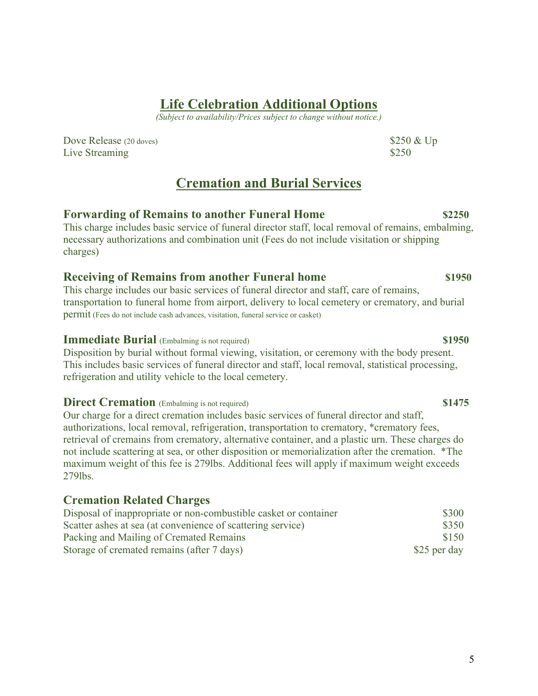5

## **Life Celebration Additional Options**

*(Subject to availability/Prices subject to change without notice.)* 

Dove Release (20 doves) \$250 & Up Live Streaming \$250

## **Cremation and Burial Services**

### **Forwarding of Remains to another Funeral Home \$2250** This charge includes basic service of funeral director staff, local removal of remains, embalming, necessary authorizations and combination unit (Fees do not include visitation or shipping charges)

## **Receiving of Remains from another Funeral home \$1950**

This charge includes our basic services of funeral director and staff, care of remains, transportation to funeral home from airport, delivery to local cemetery or crematory, and burial permit (Fees do not include cash advances, visitation, funeral service or casket)

### **Immediate Burial** (Embalming is not required) **\$1950 \$1950**

Disposition by burial without formal viewing, visitation, or ceremony with the body present. This includes basic services of funeral director and staff, local removal, statistical processing, refrigeration and utility vehicle to the local cemetery.

## **Direct Cremation** (Embalming is not required) **\$1475 \$1475**

Our charge for a direct cremation includes basic services of funeral director and staff, authorizations, local removal, refrigeration, transportation to crematory, \*crematory fees, retrieval of cremains from crematory, alternative container, and a plastic urn. These charges do not include scattering at sea, or other disposition or memorialization after the cremation. \*The maximum weight of this fee is 279lbs. Additional fees will apply if maximum weight exceeds 279lbs.

## **Cremation Related Charges**

| Disposal of inappropriate or non-combustible casket or container | \$300        |
|------------------------------------------------------------------|--------------|
| Scatter ashes at sea (at convenience of scattering service)      | \$350        |
| Packing and Mailing of Cremated Remains                          | \$150        |
| Storage of cremated remains (after 7 days)                       | \$25 per day |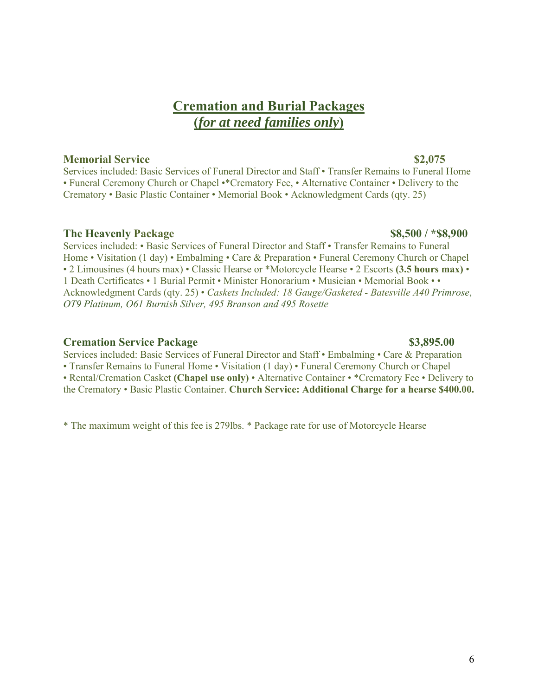## **Cremation and Burial Packages (***for at need families only***)**

### **Memorial Service \$2,075**

Services included: Basic Services of Funeral Director and Staff • Transfer Remains to Funeral Home • Funeral Ceremony Church or Chapel •\*Crematory Fee, • Alternative Container • Delivery to the Crematory • Basic Plastic Container • Memorial Book • Acknowledgment Cards (qty. 25)

### **The Heavenly Package 38,500 / \*\$8,900**

Services included: • Basic Services of Funeral Director and Staff • Transfer Remains to Funeral Home • Visitation (1 day) • Embalming • Care & Preparation • Funeral Ceremony Church or Chapel • 2 Limousines (4 hours max) • Classic Hearse or \*Motorcycle Hearse • 2 Escorts **(3.5 hours max)** • 1 Death Certificates • 1 Burial Permit • Minister Honorarium • Musician • Memorial Book • • Acknowledgment Cards (qty. 25) • *Caskets Included: 18 Gauge/Gasketed - Batesville A40 Primrose*, *OT9 Platinum, O61 Burnish Silver, 495 Branson and 495 Rosette* 

### **Cremation Service Package \$3,895.00**  \$3,895.00

Services included: Basic Services of Funeral Director and Staff • Embalming • Care & Preparation • Transfer Remains to Funeral Home • Visitation (1 day) • Funeral Ceremony Church or Chapel • Rental/Cremation Casket **(Chapel use only)** • Alternative Container • \*Crematory Fee • Delivery to the Crematory • Basic Plastic Container. **Church Service: Additional Charge for a hearse \$400.00.** 

\* The maximum weight of this fee is 279lbs. \* Package rate for use of Motorcycle Hearse